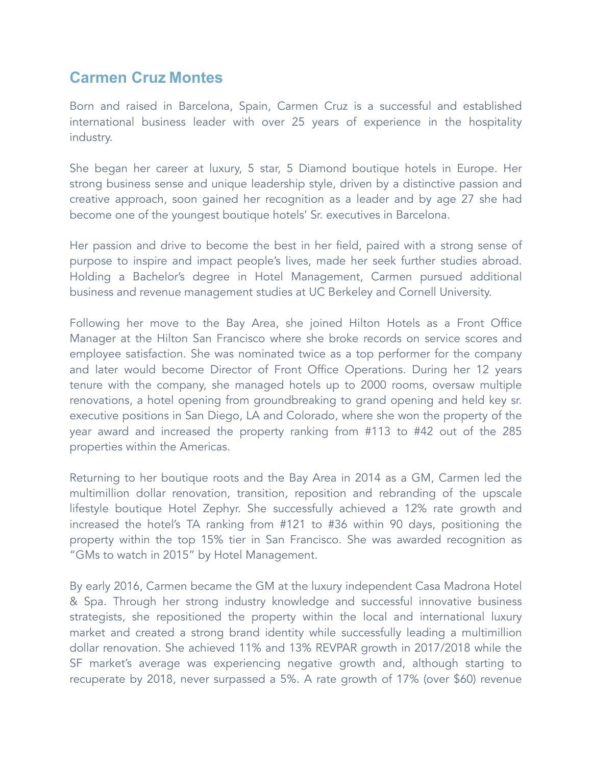## **Carmen Cruz Montes**

Born and raised in Barcelona, Spain, Carmen Cruz is a successful and established international business leader with over 25 years of experience in the hospitality industry.

She began her career at luxury, 5 star, 5 Diamond boutique hotels in Europe. Her strong business sense and unique leadership style, driven by a distinctive passion and creative approach, soon gained her recognition as a leader and by age 27 she had become one of the youngest boutique hotels' Sr. executives in Barcelona.

Her passion and drive to become the best in her field, paired with a strong sense of purpose to inspire and impact people's lives, made her seek further studies abroad. Holding a Bachelor's degree in Hotel Management, Carmen pursued additional business and revenue management studies at UC Berkeley and Cornell University.

Following her move to the Bay Area, she joined Hilton Hotels as a Front Office Manager at the Hilton San Francisco where she broke records on service scores and employee satisfaction. She was nominated twice as a top performer for the company and later would become Director of Front Office Operations. During her 12 years tenure with the company, she managed hotels up to 2000 rooms, oversaw multiple renovations, a hotel opening from groundbreaking to grand opening and held key sr. executive positions in San Diego, LA and Colorado, where she won the property of the year award and increased the property ranking from #113 to #42 out of the 285 properties within the Americas.

Returning to her boutique roots and the Bay Area in 2014 as a GM, Carmen led the multimillion dollar renovation, transition, reposition and rebranding of the upscale lifestyle boutique Hotel Zephyr. She successfully achieved a 12% rate growth and increased the hotel's TA ranking from #121 to #36 within 90 days, positioning the property within the top 15% tier in San Francisco. She was awarded recognition as "GMs to watch in 2015" by Hotel Management.

By early 2016, Carmen became the GM at the luxury independent Casa Madrona Hotel & Spa. Through her strong industry knowledge and successful innovative business strategists, she repositioned the property within the local and international luxury market and created a strong brand identity while successfully leading a multimillion dollar renovation. She achieved 11% and 13% REVPAR growth in 2017/2018 while the SF market's average was experiencing negative growth and, although starting to recuperate by 2018, never surpassed a 5%. A rate growth of 17% (over \$60) revenue